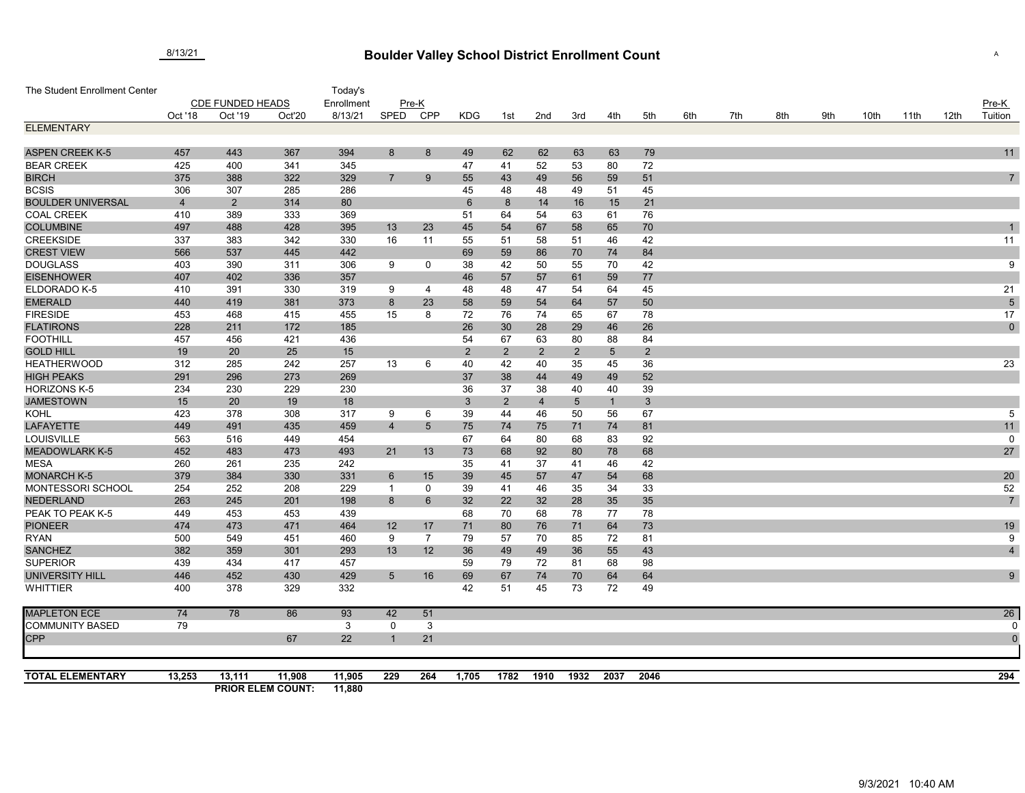## **Boulder Valley School District Enrollment Count** 8/13/21 <sup>A</sup>

| The Student Enrollment Center |                         |                |                                    | Today's          |                |                 |                |                |                |                 |                 |                 |     |     |     |     |      |      |      |                |
|-------------------------------|-------------------------|----------------|------------------------------------|------------------|----------------|-----------------|----------------|----------------|----------------|-----------------|-----------------|-----------------|-----|-----|-----|-----|------|------|------|----------------|
|                               | <b>CDE FUNDED HEADS</b> |                |                                    | Enrollment       |                | $Pre-K$         |                |                |                |                 |                 |                 |     |     |     |     |      |      |      | Pre-K          |
|                               | Oct '18                 | Oct '19        | Oct'20                             | 8/13/21          | <b>SPED</b>    | <b>CPP</b>      | <b>KDG</b>     | 1st            | 2nd            | 3rd             | 4th             | 5th             | 6th | 7th | 8th | 9th | 10th | 11th | 12th | Tuition        |
| <b>ELEMENTARY</b>             |                         |                |                                    |                  |                |                 |                |                |                |                 |                 |                 |     |     |     |     |      |      |      |                |
| <b>ASPEN CREEK K-5</b>        | 457                     | 443            | 367                                | 394              | 8              | 8               | 49             | 62             | 62             | 63              | 63              | 79              |     |     |     |     |      |      |      | 11             |
| <b>BEAR CREEK</b>             | 425                     | 400            | 341                                | 345              |                |                 | 47             | 41             | 52             | 53              | 80              | 72              |     |     |     |     |      |      |      |                |
| <b>BIRCH</b>                  | 375                     | 388            | 322                                | 329              | $\overline{7}$ | 9               | 55             | 43             | 49             | 56              | 59              | 51              |     |     |     |     |      |      |      | $\overline{7}$ |
| <b>BCSIS</b>                  | 306                     | 307            | 285                                | 286              |                |                 | 45             | 48             | 48             | 49              | 51              | 45              |     |     |     |     |      |      |      |                |
| <b>BOULDER UNIVERSAL</b>      | $\overline{4}$          | $\overline{2}$ | 314                                | 80               |                |                 | $6\phantom{1}$ | 8              | 14             | 16              | 15              | 21              |     |     |     |     |      |      |      |                |
| <b>COAL CREEK</b>             | 410                     | 389            | 333                                | 369              |                |                 | 51             | 64             | 54             | 63              | 61              | 76              |     |     |     |     |      |      |      |                |
| <b>COLUMBINE</b>              | 497                     | 488            | 428                                | 395              | 13             | 23              | 45             | 54             | 67             | 58              | 65              | 70              |     |     |     |     |      |      |      |                |
| <b>CREEKSIDE</b>              | 337                     | 383            | 342                                | 330              | 16             | 11              | 55             | 51             | 58             | 51              | 46              | 42              |     |     |     |     |      |      |      | 11             |
| <b>CREST VIEW</b>             | 566                     | 537            | 445                                | 442              |                |                 | 69             | 59             | 86             | 70              | 74              | 84              |     |     |     |     |      |      |      |                |
| <b>DOUGLASS</b>               | 403                     | 390            | 311                                | 306              | 9              | $\mathbf 0$     | 38             | 42             | 50             | 55              | 70              | 42              |     |     |     |     |      |      |      | 9              |
| <b>EISENHOWER</b>             | 407                     | 402            | 336                                | 357              |                |                 | 46             | 57             | 57             | 61              | 59              | 77              |     |     |     |     |      |      |      |                |
| ELDORADO K-5                  | 410                     | 391            | 330                                | 319              | 9              | 4               | 48             | 48             | 47             | 54              | 64              | 45              |     |     |     |     |      |      |      | 21             |
| <b>EMERALD</b>                | 440                     | 419            | 381                                | 373              | 8              | 23              | 58             | 59             | 54             | 64              | 57              | 50              |     |     |     |     |      |      |      | $\overline{5}$ |
| <b>FIRESIDE</b>               | 453                     | 468            | 415                                | 455              | 15             | 8               | 72             | 76             | 74             | 65              | 67              | 78              |     |     |     |     |      |      |      | 17             |
| <b>FLATIRONS</b>              | 228                     | 211            | 172                                | 185              |                |                 | 26             | 30             | 28             | 29              | 46              | 26              |     |     |     |     |      |      |      | $\pmb{0}$      |
| <b>FOOTHILL</b>               | 457                     | 456            | 421                                | 436              |                |                 | 54             | 67             | 63             | 80              | 88              | 84              |     |     |     |     |      |      |      |                |
| <b>GOLD HILL</b>              | 19                      | 20             | 25                                 | 15               |                |                 | $\overline{2}$ | $\overline{2}$ | $\overline{2}$ | $\overline{2}$  | $5\overline{)}$ | $\overline{2}$  |     |     |     |     |      |      |      |                |
| <b>HEATHERWOOD</b>            | 312                     | 285            | 242                                | 257              | 13             | 6               | 40             | 42             | 40             | 35              | 45              | 36              |     |     |     |     |      |      |      | 23             |
| <b>HIGH PEAKS</b>             | 291                     | 296            | 273                                | 269              |                |                 | 37             | 38             | 44             | 49              | 49              | 52              |     |     |     |     |      |      |      |                |
| <b>HORIZONS K-5</b>           | 234                     | 230            | 229                                | 230              |                |                 | 36             | 37             | 38             | 40              | 40              | 39              |     |     |     |     |      |      |      |                |
| <b>JAMESTOWN</b>              | 15                      | 20             | 19                                 | 18               |                |                 | $\mathbf{3}$   | $\overline{2}$ | $\overline{4}$ | $5\phantom{.0}$ | $\mathbf{1}$    | $3\phantom{.0}$ |     |     |     |     |      |      |      |                |
| <b>KOHL</b>                   | 423                     | 378            | 308                                | 317              | 9              | 6               | 39             | 44             | 46             | 50              | 56              | 67              |     |     |     |     |      |      |      | 5              |
| <b>LAFAYETTE</b>              | 449                     | 491            | 435                                | 459              | $\overline{4}$ | $5\overline{)}$ | 75             | 74             | 75             | 71              | 74              | 81              |     |     |     |     |      |      |      | 11             |
| LOUISVILLE                    | 563                     | 516            | 449                                | 454              |                |                 | 67             | 64             | 80             | 68              | 83              | 92              |     |     |     |     |      |      |      | $\mathbf 0$    |
| <b>MEADOWLARK K-5</b>         | 452                     | 483            | 473                                | 493              | 21             | 13              | 73             | 68             | 92             | 80              | 78              | 68              |     |     |     |     |      |      |      | 27             |
| <b>MESA</b>                   | 260                     | 261            | 235                                | 242              |                |                 | 35             | 41             | 37             | 41              | 46              | 42              |     |     |     |     |      |      |      |                |
| <b>MONARCH K-5</b>            | 379                     | 384            | 330                                | 331              | $6\phantom{1}$ | 15              | 39             | 45             | 57             | 47              | 54              | 68              |     |     |     |     |      |      |      | 20             |
| MONTESSORI SCHOOL             | 254                     | 252            | 208                                | 229              | $\overline{1}$ | $\mathbf 0$     | 39             | 41             | 46             | 35              | 34              | 33              |     |     |     |     |      |      |      | 52             |
| <b>NEDERLAND</b>              | 263                     | 245            | 201                                | 198              | 8              | $6\overline{6}$ | 32             | 22             | 32             | 28              | 35              | 35              |     |     |     |     |      |      |      | $\overline{7}$ |
| PEAK TO PEAK K-5              | 449                     | 453            | 453                                | 439              |                |                 | 68             | 70             | 68             | 78              | 77              | 78              |     |     |     |     |      |      |      |                |
| <b>PIONEER</b>                | 474                     | 473            | 471                                | 464              | 12             | 17              | 71             | 80             | 76             | 71              | 64              | 73              |     |     |     |     |      |      |      | 19             |
| <b>RYAN</b>                   | 500                     | 549            | 451                                | 460              | 9              | $\overline{7}$  | 79             | 57             | 70             | 85              | 72              | 81              |     |     |     |     |      |      |      | 9              |
| <b>SANCHEZ</b>                | 382                     | 359            | 301                                | 293              | 13             | 12              | 36             | 49             | 49             | 36              | 55              | 43              |     |     |     |     |      |      |      | $\overline{4}$ |
| <b>SUPERIOR</b>               | 439                     | 434            | 417                                | 457              |                |                 | 59             | 79             | 72             | 81              | 68              | 98              |     |     |     |     |      |      |      |                |
| <b>UNIVERSITY HILL</b>        | 446                     | 452            | 430                                | 429              | $\overline{5}$ | 16              | 69             | 67             | 74             | 70              | 64              | 64              |     |     |     |     |      |      |      | 9              |
| <b>WHITTIER</b>               | 400                     | 378            | 329                                | 332              |                |                 | 42             | 51             | 45             | 73              | 72              | 49              |     |     |     |     |      |      |      |                |
| <b>MAPLETON ECE</b>           | 74                      | 78             | 86                                 | 93               | 42             | 51              |                |                |                |                 |                 |                 |     |     |     |     |      |      |      | 26             |
| <b>COMMUNITY BASED</b>        | 79                      |                |                                    | 3                | 0              | 3               |                |                |                |                 |                 |                 |     |     |     |     |      |      |      | 0              |
| <b>CPP</b>                    |                         |                | 67                                 | 22               |                | 21              |                |                |                |                 |                 |                 |     |     |     |     |      |      |      | $\overline{0}$ |
| <b>TOTAL ELEMENTARY</b>       | 13,253                  | 13,111         |                                    |                  |                |                 |                |                | 1910           | 1932            |                 | 2046            |     |     |     |     |      |      |      | 294            |
|                               |                         |                | 11,908<br><b>PRIOR ELEM COUNT:</b> | 11,905<br>11,880 | 229            | 264             | 1,705          | 1782           |                |                 | 2037            |                 |     |     |     |     |      |      |      |                |